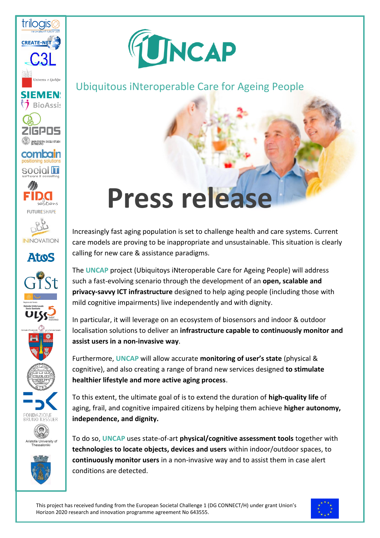

FONDAZIONE<br>BRUNO KESSLER

Aristotle University of<br>Thessaloniki



## Ubiquitous iNteroperable Care for Ageing People

## **Press release**

Increasingly fast aging population is set to challenge health and care systems. Current care models are proving to be inappropriate and unsustainable. This situation is clearly calling for new care & assistance paradigms.

The **UNCAP** project (Ubiquitoys iNteroperable Care for Ageing People) will address such a fast-evolving scenario through the development of an **open, scalable and privacy-savvy ICT infrastructure** designed to help aging people (including those with mild cognitive impairments) live independently and with dignity.

In particular, it will leverage on an ecosystem of biosensors and indoor & outdoor localisation solutions to deliver an **infrastructure capable to continuously monitor and assist users in a non-invasive way**.

Furthermore, **UNCAP** will allow accurate **monitoring of user's state** (physical & cognitive), and also creating a range of brand new services designed **to stimulate healthier lifestyle and more active aging process**.

To this extent, the ultimate goal of is to extend the duration of **high-quality life** of aging, frail, and cognitive impaired citizens by helping them achieve **higher autonomy, independence, and dignity.**

To do so, **UNCAP** uses state-of-art **physical/cognitive assessment tools** together with **technologies to locate objects, devices and users** within indoor/outdoor spaces, to **continuously monitor users** in a non-invasive way and to assist them in case alert conditions are detected.

This project has received funding from the European Societal Challenge 1 (DG CONNECT/H) under grant Union's Horizon 2020 research and innovation programme agreement No 643555.

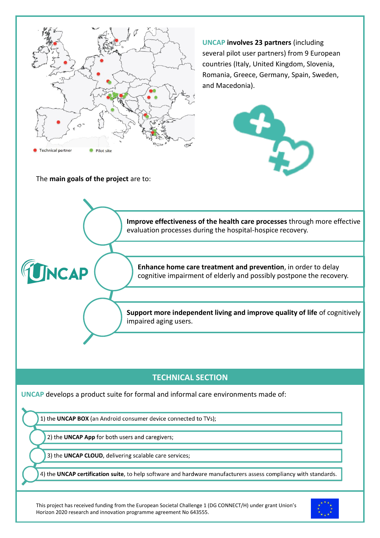

## **TECHNICAL SECTION**

**UNCAP** develops a product suite for formal and informal care environments made of:

1) the UNCAP BOX (an Android consumer device connected to TVs);

2) the UNCAP App for both users and caregivers;

3) the UNCAP CLOUD, delivering scalable care services;

4) the UNCAP certification suite, to help software and hardware manufacturers assess compliancy with standards.

This project has received funding from the European Societal Challenge 1 (DG CONNECT/H) under grant Union's Horizon 2020 research and innovation programme agreement No 643555.